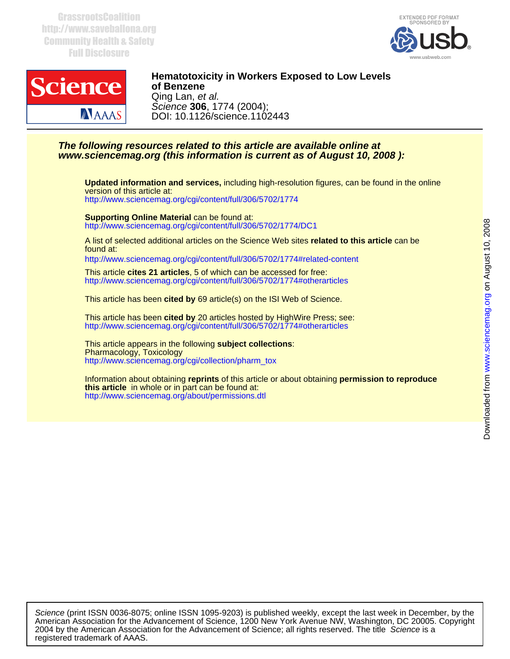**GrassrootsCoalition** http://www.saveballona.org Community Health & Safety Full Disclosure





## DOI: 10.1126/science.1102443 Science **306**, 1774 (2004); Qing Lan, et al. **of Benzene Hematotoxicity in Workers Exposed to Low Levels**

## **www.sciencemag.org (this information is current as of August 10, 2008 ): The following resources related to this article are available online at**

<http://www.sciencemag.org/cgi/content/full/306/5702/1774> version of this article at: **Updated information and services,** including high-resolution figures, can be found in the online

<http://www.sciencemag.org/cgi/content/full/306/5702/1774/DC1> **Supporting Online Material** can be found at:

found at: A list of selected additional articles on the Science Web sites **related to this article** can be

<http://www.sciencemag.org/cgi/content/full/306/5702/1774#related-content>

<http://www.sciencemag.org/cgi/content/full/306/5702/1774#otherarticles> This article **cites 21 articles**, 5 of which can be accessed for free:

This article has been **cited by** 69 article(s) on the ISI Web of Science.

<http://www.sciencemag.org/cgi/content/full/306/5702/1774#otherarticles> This article has been **cited by** 20 articles hosted by HighWire Press; see:

[http://www.sciencemag.org/cgi/collection/pharm\\_tox](http://www.sciencemag.org/cgi/collection/pharm_tox) Pharmacology, Toxicology This article appears in the following **subject collections**:

<http://www.sciencemag.org/about/permissions.dtl> **this article** in whole or in part can be found at: Information about obtaining **reprints** of this article or about obtaining **permission to reproduce**

registered trademark of AAAS. 2004 by the American Association for the Advancement of Science; all rights reserved. The title Science is a American Association for the Advancement of Science, 1200 New York Avenue NW, Washington, DC 20005. Copyright Science (print ISSN 0036-8075; online ISSN 1095-9203) is published weekly, except the last week in December, by the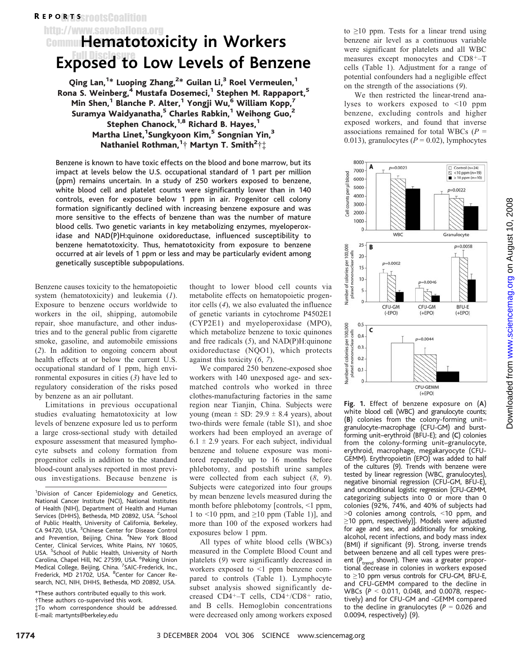# R EP ORTSSrootsCoalition

http://www.saveballona.org

# **Communitematotoxicity in Workers** Exposed to Low Levels of Benzene

Qing Lan, $^{1*}$  Luoping Zhang, $^{2*}$  Guilan Li, $^3$  Roel Vermeulen, $^1$ Rona S. Weinberg,<sup>4</sup> Mustafa Dosemeci,<sup>1</sup> Stephen M. Rappaport,<sup>5</sup> Min Shen,<sup>1</sup> Blanche P. Alter,<sup>1</sup> Yongji Wu,<sup>6</sup> William Kopp,<sup>7</sup> Suramya Waidyanatha,<sup>5</sup> Charles Rabkin,<sup>1</sup> Weihong Guo,<sup>2</sup> Stephen Chanock, $1,8$  Richard B. Hayes, $1$ Martha Linet, <sup>1</sup>Sungkyoon Kim, <sup>5</sup> Songnian Yin, <sup>3</sup> Nathaniel Rothman, ${}^{1}\! \dagger$  Martyn T. Smith ${}^{2}\! \dagger\ddagger$ 

Benzene is known to have toxic effects on the blood and bone marrow, but its impact at levels below the U.S. occupational standard of 1 part per million (ppm) remains uncertain. In a study of 250 workers exposed to benzene, white blood cell and platelet counts were significantly lower than in 140 controls, even for exposure below 1 ppm in air. Progenitor cell colony formation significantly declined with increasing benzene exposure and was more sensitive to the effects of benzene than was the number of mature blood cells. Two genetic variants in key metabolizing enzymes, myeloperoxidase and NAD(P)H:quinone oxidoreductase, influenced susceptibility to benzene hematotoxicity. Thus, hematotoxicity from exposure to benzene occurred at air levels of 1 ppm or less and may be particularly evident among genetically susceptible subpopulations.

Benzene causes toxicity to the hematopoietic system (hematotoxicity) and leukemia (1). Exposure to benzene occurs worldwide to workers in the oil, shipping, automobile repair, shoe manufacture, and other industries and to the general public from cigarette smoke, gasoline, and automobile emissions (2). In addition to ongoing concern about health effects at or below the current U.S. occupational standard of 1 ppm, high environmental exposures in cities (3) have led to regulatory consideration of the risks posed by benzene as an air pollutant.

Limitations in previous occupational studies evaluating hematotoxicity at low levels of benzene exposure led us to perform a large cross-sectional study with detailed exposure assessment that measured lymphocyte subsets and colony formation from progenitor cells in addition to the standard blood-count analyses reported in most previous investigations. Because benzene is

\*These authors contributed equally to this work.

.These authors co-supervised this work.

thought to lower blood cell counts via metabolite effects on hematopoietic progenitor cells (4), we also evaluated the influence of genetic variants in cytochrome P4502E1 (CYP2E1) and myeloperoxidase (MPO), which metabolize benzene to toxic quinones and free radicals (5), and NAD(P)H:quinone oxidoreductase (NQO1), which protects against this toxicity (6, 7).

We compared 250 benzene-exposed shoe workers with 140 unexposed age- and sexmatched controls who worked in three clothes-manufacturing factories in the same region near Tianjin, China. Subjects were young (mean  $\pm$  SD: 29.9  $\pm$  8.4 years), about two-thirds were female (table S1), and shoe workers had been employed an average of  $6.1 \pm 2.9$  years. For each subject, individual benzene and toluene exposure was monitored repeatedly up to 16 months before phlebotomy, and postshift urine samples were collected from each subject (8, 9). Subjects were categorized into four groups by mean benzene levels measured during the month before phlebotomy [controls,  $\leq 1$  ppm, 1 to  $\leq 10$  ppm, and  $\geq 10$  ppm (Table 1), and more than 100 of the exposed workers had exposures below 1 ppm.

All types of white blood cells (WBCs) measured in the Complete Blood Count and platelets (9) were significantly decreased in workers exposed to  $\leq 1$  ppm benzene compared to controls (Table 1). Lymphocyte subset analysis showed significantly decreased CD4<sup>+</sup>-T cells, CD4<sup>+</sup>/CD8<sup>+</sup> ratio, and B cells. Hemoglobin concentrations were decreased only among workers exposed

to  $\geq$ 10 ppm. Tests for a linear trend using benzene air level as a continuous variable were significant for platelets and all WBC measures except monocytes and  $CD8<sup>+</sup>-T$ cells (Table 1). Adjustment for a range of potential confounders had a negligible effect on the strength of the associations (9).

We then restricted the linear-trend analyses to workers exposed to  $\leq 10$  ppm benzene, excluding controls and higher exposed workers, and found that inverse associations remained for total WBCs ( $P =$ 0.013), granulocytes ( $P = 0.02$ ), lymphocytes



Fig. 1. Effect of benzene exposure on (A) white blood cell (WBC) and granulocyte counts; (B) colonies from the colony-forming unit– granulocyte-macrophage (CFU-GM) and burstforming unit–erythroid (BFU-E); and (C) colonies from the colony-forming unit–granulocyte, erythroid, macrophage, megakaryocyte (CFU-GEMM). Erythropoietin (EPO) was added to half of the cultures (9). Trends with benzene were tested by linear regression (WBC, granulocytes), negative binomial regression (CFU-GM, BFU-E), and unconditional logistic regression [CFU-GEMM, categorizing subjects into 0 or more than 0 colonies (92%, 74%, and 40% of subjects had  $>0$  colonies among controls,  $<$ 10 ppm, and  $\geq$ 10 ppm, respectively)]. Models were adjusted for age and sex, and additionally for smoking, alcohol, recent infections, and body mass index (BMI) if significant (9). Strong, inverse trends between benzene and all cell types were present ( $P_{\text{trend}}$  shown). There was a greater proportional decrease in colonies in workers exposed to  $\geq$ 10 ppm versus controls for CFU-GM, BFU-E, and CFU-GEMM compared to the decline in WBCs ( $P < 0.011$ , 0.048, and 0.0078, respectively) and for CFU-GM and -GEMM compared to the decline in granulocytes ( $P = 0.026$  and 0.0094, respectively) (9).

<sup>&</sup>lt;sup>1</sup>Division of Cancer Epidemiology and Genetics, National Cancer Institute (NCI), National Institutes of Health (NIH), Department of Health and Human Services (DHHS), Bethesda, MD 20892, USA. <sup>2</sup>School of Public Health, University of California, Berkeley,<br>CA 94720, USA. <sup>3</sup>Chinese Center for Disease Control and Prevention, Beijing, China. <sup>4</sup>New York Blood Center, Clinical Services, White Plains, NY 10605,<br>USA. <sup>5</sup>School of Public Health, University of North Carolina, Chapel Hill, NC 27599, USA. <sup>6</sup>Peking Union Medical College, Beijing, China. <sup>7</sup>SAIC-Frederick, Inc., Frederick, MD 21702, USA. <sup>8</sup>Center for Cancer Research, NCI, NIH, DHHS, Bethesda, MD 20892, USA.

<sup>-</sup>To whom correspondence should be addressed. E-mail: martynts@berkeley.edu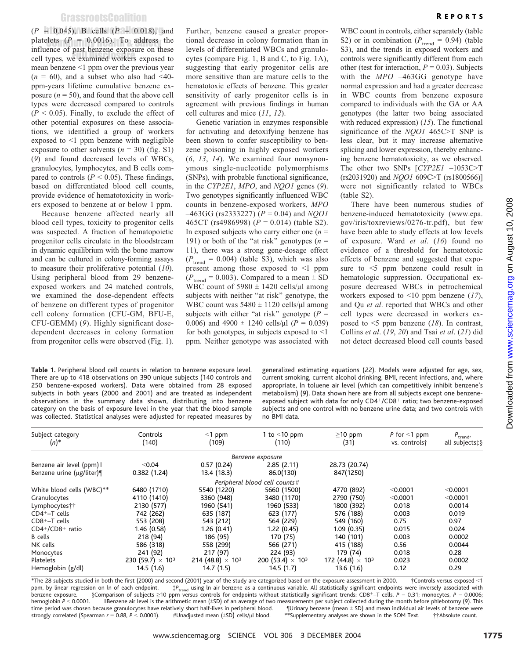$(P = 0.045)$ , B cells  $(P = 0.018)$ , and platelets  $(P = 0.0016)$ . To address the influence of past benzene exposure on these ell types, we examined workers exposed to mean benzene <1 ppm over the previous year  $(n = 60)$ , and a subset who also had <40ppm-years lifetime cumulative benzene exposure  $(n = 50)$ , and found that the above cell types were decreased compared to controls  $(P \le 0.05)$ . Finally, to exclude the effect of other potential exposures on these associations, we identified a group of workers exposed to  $\leq 1$  ppm benzene with negligible exposure to other solvents ( $n = 30$ ) (fig. S1) (9) and found decreased levels of WBCs, granulocytes, lymphocytes, and B cells compared to controls ( $P \le 0.05$ ). These findings, based on differentiated blood cell counts, provide evidence of hematotoxicity in workers exposed to benzene at or below 1 ppm.

Because benzene affected nearly all blood cell types, toxicity to progenitor cells was suspected. A fraction of hematopoietic progenitor cells circulate in the bloodstream in dynamic equilibrium with the bone marrow and can be cultured in colony-forming assays to measure their proliferative potential  $(10)$ . Using peripheral blood from 29 benzeneexposed workers and 24 matched controls, we examined the dose-dependent effects of benzene on different types of progenitor cell colony formation (CFU-GM, BFU-E, CFU-GEMM) (9). Highly significant dosedependent decreases in colony formation from progenitor cells were observed (Fig. 1).

Table 1. Peripheral blood cell counts in relation to benzene exposure level. There are up to 418 observations on 390 unique subjects (140 controls and 250 benzene-exposed workers). Data were obtained from 28 exposed subjects in both years (2000 and 2001) and are treated as independent observations in the summary data shown, distributing into benzene category on the basis of exposure level in the year that the blood sample was collected. Statistical analyses were adjusted for repeated measures by

Further, benzene caused a greater proportional decrease in colony formation than in levels of differentiated WBCs and granulocytes (compare Fig. 1, B and C, to Fig. 1A), suggesting that early progenitor cells are more sensitive than are mature cells to the hematotoxic effects of benzene. This greater sensitivity of early progenitor cells is in agreement with previous findings in human cell cultures and mice (11, 12).

Genetic variation in enzymes responsible for activating and detoxifying benzene has been shown to confer susceptibility to benzene poisoning in highly exposed workers (6, 13, 14). We examined four nonsynonymous single-nucleotide polymorphisms (SNPs), with probable functional significance, in the CYP2E1, MPO, and NOO1 genes (9). Two genotypes significantly influenced WBC counts in benzene-exposed workers, MPO  $-463GG$  (rs2333227) ( $P = 0.04$ ) and NQO1 465CT (rs4986998) ( $P = 0.014$ ) (table S2). In exposed subjects who carry either one  $(n =$ 191) or both of the "at risk" genotypes ( $n =$ 11), there was a strong gene-dosage effect  $(P_{\text{trend}} = 0.004)$  (table S3), which was also present among those exposed to  $\leq 1$  ppm  $(P_{\text{trend}} = 0.003)$ . Compared to a mean  $\pm$  SD WBC count of  $5980 \pm 1420$  cells/µl among subjects with neither "at risk" genotype, the WBC count was  $5480 \pm 1120$  cells/µl among subjects with either "at risk" genotype ( $P =$ 0.006) and 4900  $\pm$  1240 cells/µl ( $P = 0.039$ ) for both genotypes, in subjects exposed to  $\leq 1$ ppm. Neither genotype was associated with

WBC count in controls, either separately (table S2) or in combination ( $P_{\text{trend}} = 0.94$ ) (table S3), and the trends in exposed workers and controls were significantly different from each other (test for interaction,  $P = 0.03$ ). Subjects with the  $MPO -463GG$  genotype have normal expression and had a greater decrease in WBC counts from benzene exposure compared to individuals with the GA or AA genotypes (the latter two being associated with reduced expression)  $(15)$ . The functional significance of the  $NQO1$  465C $>$ T SNP is less clear, but it may increase alternative splicing and lower expression, thereby enhancing benzene hematotoxicity, as we observed. The other two SNPs  $[CP2E1 -1053C>T]$  $(rs2031920)$  and  $NQO1$  609C>T  $(rs1800566)$ <sup>]</sup> were not significantly related to WBCs (table S2).

There have been numerous studies of benzene-induced hematotoxicity (www.epa. gov/iris/toxreviews/0276-tr.pdf), but few have been able to study effects at low levels of exposure. Ward et al. (16) found no evidence of a threshold for hematotoxic effects of benzene and suggested that exposure to  $\leq$  ppm benzene could result in hematologic suppression. Occupational exposure decreased WBCs in petrochemical workers exposed to  $\leq 10$  ppm benzene (17), and Qu et al. reported that WBCs and other cell types were decreased in workers exposed to  $\leq$ 5 ppm benzene (18). In contrast, Collins et al. (19, 20) and Tsai et al. (21) did not detect decreased blood cell counts based

generalized estimating equations (22). Models were adjusted for age, sex, current smoking, current alcohol drinking, BMI, recent infections, and, where appropriate, ln toluene air level (which can competitively inhibit benzene's metabolism) (9). Data shown here are from all subjects except one benzeneexposed subject with data for only CD4+/CD8+ ratio; two benzene-exposed subjects and one control with no benzene urine data; and two controls with no BMI data.

| Subject category<br>$(n)^*$ | Controls<br>(140)                   | $<$ 1 ppm<br>(109)                  | 1 to $<$ 10 ppm<br>(110)            | $\geq$ 10 ppm<br>(31)               | P for $\leq 1$ ppm<br>vs. controlst | $P_{\text{trend'}}$<br>all subjects: § |
|-----------------------------|-------------------------------------|-------------------------------------|-------------------------------------|-------------------------------------|-------------------------------------|----------------------------------------|
|                             |                                     |                                     | Benzene exposure                    |                                     |                                     |                                        |
| Benzene air level (ppm) II  | < 0.04                              | 0.57(0.24)                          | 2.85(2.11)                          | 28.73 (20.74)                       |                                     |                                        |
| Benzene urine (µg/liter)¶   | 0.382(1.24)                         | 13.4(18.3)                          | 86.0(130)                           | 847(1250)                           |                                     |                                        |
|                             |                                     |                                     | Peripheral blood cell counts #      |                                     |                                     |                                        |
| White blood cells (WBC)**   | 6480 (1710)                         | 5540 (1220)                         | 5660 (1500)                         | 4770 (892)                          | < 0.0001                            | < 0.0001                               |
| Granulocytes                | 4110 (1410)                         | 3360 (948)                          | 3480 (1170)                         | 2790 (750)                          | < 0.0001                            | < 0.0001                               |
| Lymphocytes††               | 2130 (577)                          | 1960 (541)                          | 1960 (533)                          | 1800 (392)                          | 0.018                               | 0.0014                                 |
| $CD4+-T$ cells              | 742 (262)                           | 635 (187)                           | 623 (177)                           | 576 (188)                           | 0.003                               | 0.019                                  |
| $CD8+-T$ cells              | 553 (208)                           | 543 (212)                           | 564 (229)                           | 549 (160)                           | 0.75                                | 0.97                                   |
| $CD4+/CD8+$ ratio           | 1.46 (0.58)                         | 1.26 (0.41)                         | 1.22(0.45)                          | 1.09(0.35)                          | 0.015                               | 0.024                                  |
| <b>B</b> cells              | 218 (94)                            | 186 (95)                            | 170 (75)                            | 140 (101)                           | 0.003                               | 0.0002                                 |
| NK cells                    | 586 (318)                           | 558 (299)                           | 566 (271)                           | 415 (188)                           | 0.56                                | 0.0044                                 |
| Monocytes                   | 241 (92)                            | 217 (97)                            | 224 (93)                            | 179 (74)                            | 0.018                               | 0.28                                   |
| Platelets                   | 230 (59.7) $\times$ 10 <sup>3</sup> | 214 (48.8) $\times$ 10 <sup>3</sup> | 200 (53.4) $\times$ 10 <sup>3</sup> | 172 (44.8) $\times$ 10 <sup>3</sup> | 0.023                               | 0.0002                                 |
| Hemoglobin (g/dl)           | 14.5 (1.6)                          | 14.7 (1.5)                          | 14.5(1.7)                           | 13.6(1.6)                           | 0.12                                | 0.29                                   |

\*The 28 subjects studied in both the first (2000) and second (2001) year of the study are categorized based on the exposure assessment in 2000. <sup>+</sup>Controls versus exposed <1 ppm, by linear regression on ln of each endpoint.  $p_{\text{read}}$  using ln air benzene as a continuous variable. All statistically significant endpoints were inversely associated with benzene exposure. Scomparison of subjects benzene exposure. SComparison of subjects  $\geq$ 10 ppm versus controls for endpoints without statistically significant trends: CD8+-T cells, P = 0.31; monocytes, P = 0.0006; hemoglobin P < 0.0001. Il Benzene air level is t Il Benzene air level is the arithmetic mean ( $\pm$ SD) of an average of two measurements per subject collected during the month before phlebotomy (9). This use granulocytes have relatively short half-lives in peripheral blo time period was chosen because granulocytes have relatively short half-lives in peripheral blood.  $\parallel$ Urinary benzene (mean  $\pm$  SD) and mean individual air levels of benzene were were were the state of the some the some \*\* Supplementary analyses are shown in the SOM Text.